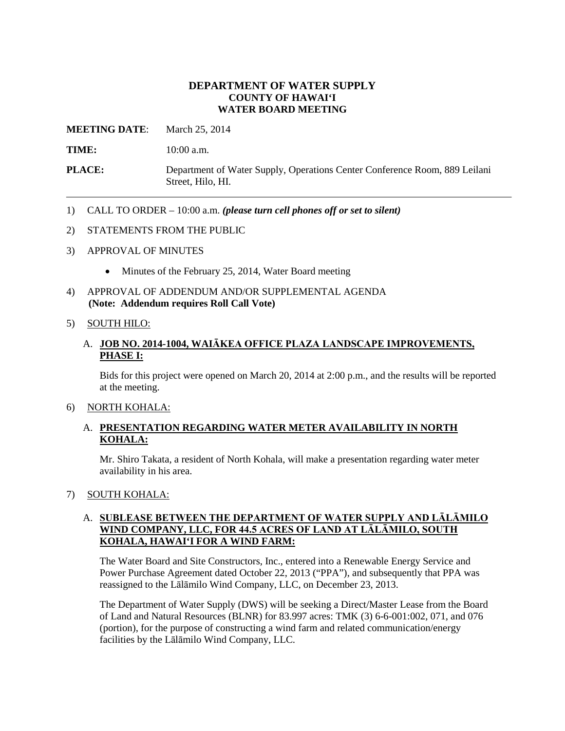### **DEPARTMENT OF WATER SUPPLY COUNTY OF HAWAI'I WATER BOARD MEETING**

**MEETING DATE**: March 25, 2014

**TIME:** 10:00 a.m.

**PLACE:** Department of Water Supply, Operations Center Conference Room, 889 Leilani Street, Hilo, HI.

- 1) CALL TO ORDER 10:00 a.m. *(please turn cell phones off or set to silent)*
- 2) STATEMENTS FROM THE PUBLIC
- 3) APPROVAL OF MINUTES
	- Minutes of the February 25, 2014, Water Board meeting
- 4) APPROVAL OF ADDENDUM AND/OR SUPPLEMENTAL AGENDA **(Note: Addendum requires Roll Call Vote)**

#### 5) SOUTH HILO:

# A. **JOB NO. 2014-1004, WAIĀKEA OFFICE PLAZA LANDSCAPE IMPROVEMENTS, PHASE I:**

Bids for this project were opened on March 20, 2014 at 2:00 p.m., and the results will be reported at the meeting.

#### 6) NORTH KOHALA:

#### A. **PRESENTATION REGARDING WATER METER AVAILABILITY IN NORTH KOHALA:**

Mr. Shiro Takata, a resident of North Kohala, will make a presentation regarding water meter availability in his area.

# 7) SOUTH KOHALA:

# A. **SUBLEASE BETWEEN THE DEPARTMENT OF WATER SUPPLY AND LĀLĀMILO WIND COMPANY, LLC, FOR 44.5 ACRES OF LAND AT LĀLĀMILO, SOUTH KOHALA, HAWAI'I FOR A WIND FARM:**

The Water Board and Site Constructors, Inc., entered into a Renewable Energy Service and Power Purchase Agreement dated October 22, 2013 ("PPA"), and subsequently that PPA was reassigned to the Lālāmilo Wind Company, LLC, on December 23, 2013.

The Department of Water Supply (DWS) will be seeking a Direct/Master Lease from the Board of Land and Natural Resources (BLNR) for 83.997 acres: TMK (3) 6-6-001:002, 071, and 076 (portion), for the purpose of constructing a wind farm and related communication/energy facilities by the Lālāmilo Wind Company, LLC.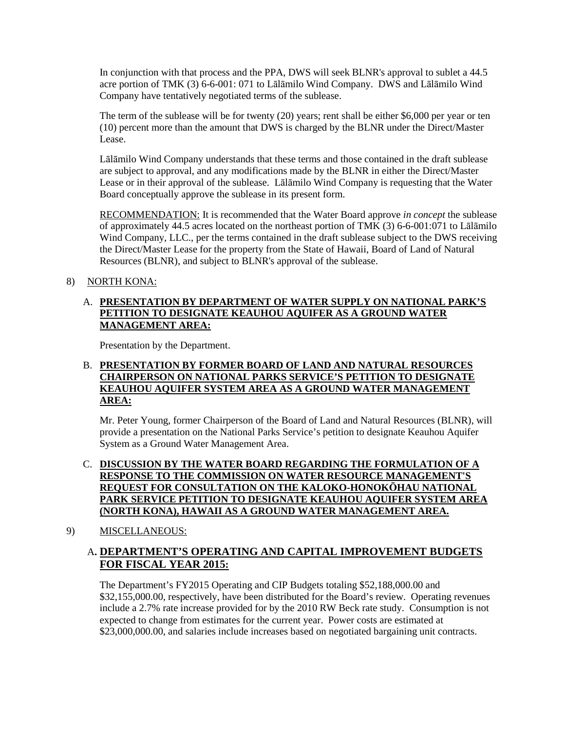In conjunction with that process and the PPA, DWS will seek BLNR's approval to sublet a 44.5 acre portion of TMK (3) 6-6-001: 071 to Lālāmilo Wind Company. DWS and Lālāmilo Wind Company have tentatively negotiated terms of the sublease.

The term of the sublease will be for twenty (20) years; rent shall be either \$6,000 per year or ten (10) percent more than the amount that DWS is charged by the BLNR under the Direct/Master Lease.

Lālāmilo Wind Company understands that these terms and those contained in the draft sublease are subject to approval, and any modifications made by the BLNR in either the Direct/Master Lease or in their approval of the sublease. Lālāmilo Wind Company is requesting that the Water Board conceptually approve the sublease in its present form.

RECOMMENDATION: It is recommended that the Water Board approve *in concept* the sublease of approximately 44.5 acres located on the northeast portion of TMK (3) 6-6-001:071 to Lālāmilo Wind Company, LLC., per the terms contained in the draft sublease subject to the DWS receiving the Direct/Master Lease for the property from the State of Hawaii, Board of Land of Natural Resources (BLNR), and subject to BLNR's approval of the sublease.

# 8) NORTH KONA:

# A. **PRESENTATION BY DEPARTMENT OF WATER SUPPLY ON NATIONAL PARK'S PETITION TO DESIGNATE KEAUHOU AQUIFER AS A GROUND WATER MANAGEMENT AREA:**

Presentation by the Department.

### B. **PRESENTATION BY FORMER BOARD OF LAND AND NATURAL RESOURCES CHAIRPERSON ON NATIONAL PARKS SERVICE'S PETITION TO DESIGNATE KEAUHOU AQUIFER SYSTEM AREA AS A GROUND WATER MANAGEMENT AREA:**

Mr. Peter Young, former Chairperson of the Board of Land and Natural Resources (BLNR), will provide a presentation on the National Parks Service's petition to designate Keauhou Aquifer System as a Ground Water Management Area.

## C. **DISCUSSION BY THE WATER BOARD REGARDING THE FORMULATION OF A RESPONSE TO THE COMMISSION ON WATER RESOURCE MANAGEMENT'S REQUEST FOR CONSULTATION ON THE KALOKO-HONOKŌHAU NATIONAL PARK SERVICE PETITION TO DESIGNATE KEAUHOU AQUIFER SYSTEM AREA (NORTH KONA), HAWAII AS A GROUND WATER MANAGEMENT AREA.**

# 9) MISCELLANEOUS:

# A**. DEPARTMENT'S OPERATING AND CAPITAL IMPROVEMENT BUDGETS FOR FISCAL YEAR 2015:**

The Department's FY2015 Operating and CIP Budgets totaling \$52,188,000.00 and \$32,155,000.00, respectively, have been distributed for the Board's review. Operating revenues include a 2.7% rate increase provided for by the 2010 RW Beck rate study. Consumption is not expected to change from estimates for the current year. Power costs are estimated at \$23,000,000.00, and salaries include increases based on negotiated bargaining unit contracts.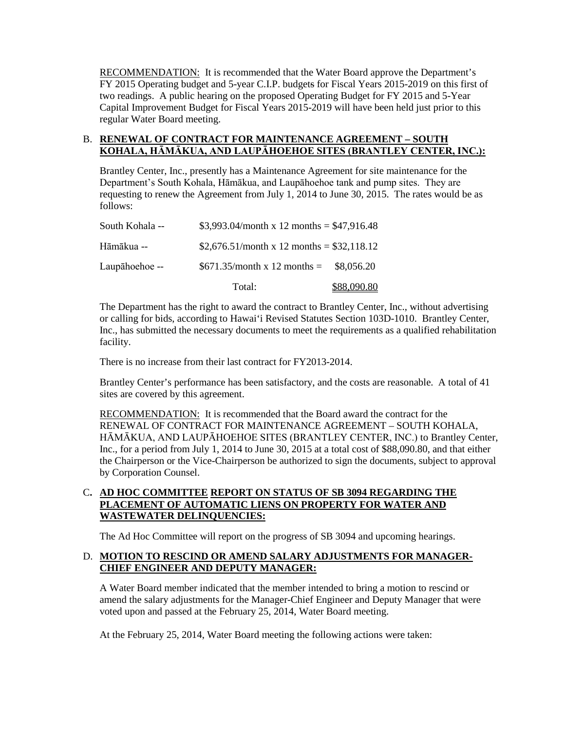RECOMMENDATION: It is recommended that the Water Board approve the Department's FY 2015 Operating budget and 5-year C.I.P. budgets for Fiscal Years 2015-2019 on this first of two readings. A public hearing on the proposed Operating Budget for FY 2015 and 5-Year Capital Improvement Budget for Fiscal Years 2015-2019 will have been held just prior to this regular Water Board meeting.

#### B. **RENEWAL OF CONTRACT FOR MAINTENANCE AGREEMENT – SOUTH KOHALA, HĀMĀKUA, AND LAUPĀHOEHOE SITES (BRANTLEY CENTER, INC.):**

Brantley Center, Inc., presently has a Maintenance Agreement for site maintenance for the Department's South Kohala, Hāmākua, and Laupāhoehoe tank and pump sites. They are requesting to renew the Agreement from July 1, 2014 to June 30, 2015. The rates would be as follows:

|                 | Total:                                     | \$88,090.80 |
|-----------------|--------------------------------------------|-------------|
| Laupāhoehoe --  | $$671.35/month x 12 months =$              | \$8,056.20  |
| Hāmākua --      | \$2,676.51/month x 12 months = \$32,118.12 |             |
| South Kohala -- | \$3,993.04/month x 12 months = \$47,916.48 |             |

The Department has the right to award the contract to Brantley Center, Inc., without advertising or calling for bids, according to Hawai'i Revised Statutes Section 103D-1010. Brantley Center, Inc., has submitted the necessary documents to meet the requirements as a qualified rehabilitation facility.

There is no increase from their last contract for FY2013-2014.

Brantley Center's performance has been satisfactory, and the costs are reasonable. A total of 41 sites are covered by this agreement.

RECOMMENDATION: It is recommended that the Board award the contract for the RENEWAL OF CONTRACT FOR MAINTENANCE AGREEMENT – SOUTH KOHALA, HĀMĀKUA, AND LAUPĀHOEHOE SITES (BRANTLEY CENTER, INC.) to Brantley Center, Inc., for a period from July 1, 2014 to June 30, 2015 at a total cost of \$88,090.80, and that either the Chairperson or the Vice-Chairperson be authorized to sign the documents, subject to approval by Corporation Counsel.

### C**. AD HOC COMMITTEE REPORT ON STATUS OF SB 3094 REGARDING THE PLACEMENT OF AUTOMATIC LIENS ON PROPERTY FOR WATER AND WASTEWATER DELINQUENCIES:**

The Ad Hoc Committee will report on the progress of SB 3094 and upcoming hearings.

# D. **MOTION TO RESCIND OR AMEND SALARY ADJUSTMENTS FOR MANAGER-CHIEF ENGINEER AND DEPUTY MANAGER:**

A Water Board member indicated that the member intended to bring a motion to rescind or amend the salary adjustments for the Manager-Chief Engineer and Deputy Manager that were voted upon and passed at the February 25, 2014, Water Board meeting.

At the February 25, 2014, Water Board meeting the following actions were taken: